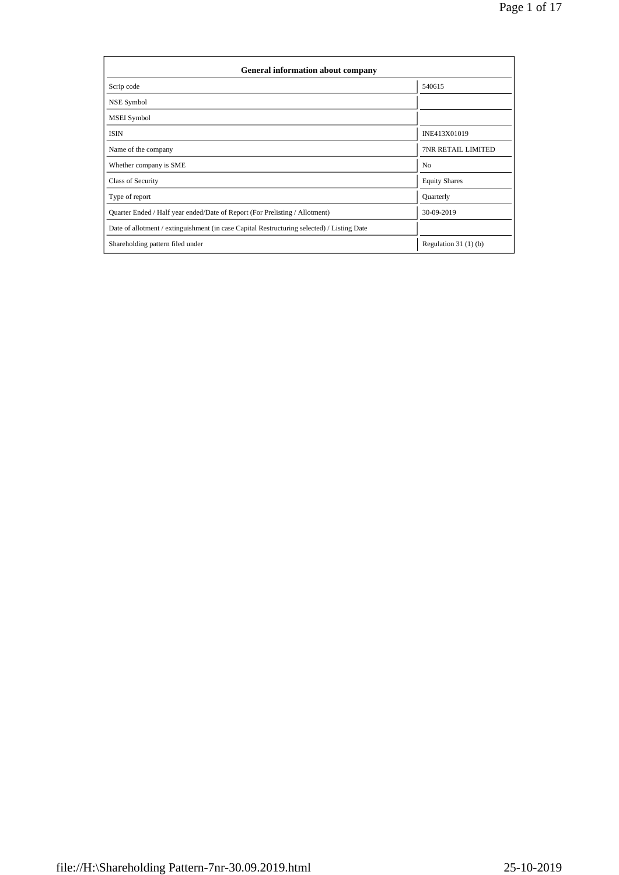| General information about company                                                          |                           |
|--------------------------------------------------------------------------------------------|---------------------------|
| Scrip code                                                                                 | 540615                    |
| NSE Symbol                                                                                 |                           |
| <b>MSEI</b> Symbol                                                                         |                           |
| <b>ISIN</b>                                                                                | INE413X01019              |
| Name of the company                                                                        | <b>7NR RETAIL LIMITED</b> |
| Whether company is SME                                                                     | No                        |
| Class of Security                                                                          | <b>Equity Shares</b>      |
| Type of report                                                                             | Quarterly                 |
| Quarter Ended / Half year ended/Date of Report (For Prelisting / Allotment)                | 30-09-2019                |
| Date of allotment / extinguishment (in case Capital Restructuring selected) / Listing Date |                           |
| Shareholding pattern filed under                                                           | Regulation $31(1)(b)$     |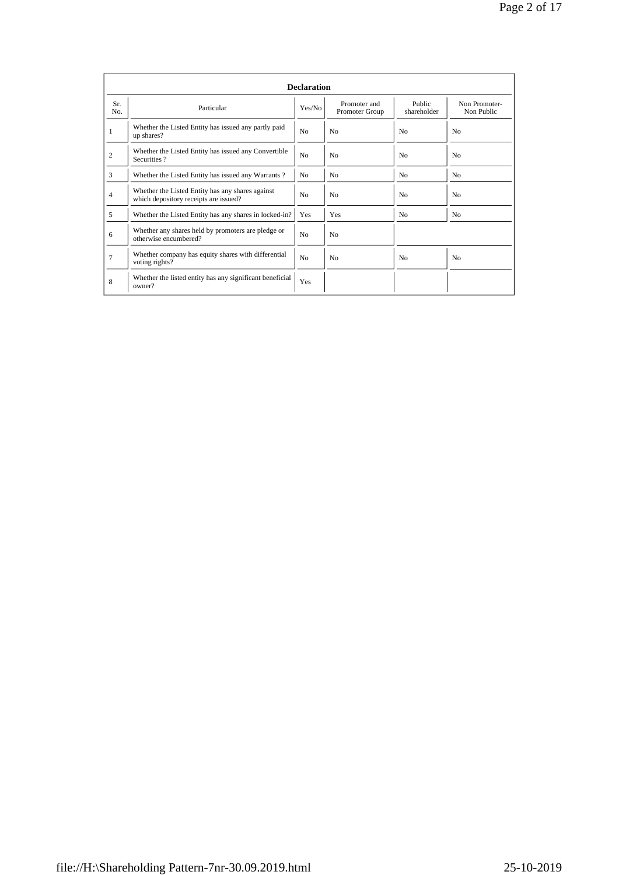|                |                                                                                           | <b>Declaration</b> |                                |                       |                             |
|----------------|-------------------------------------------------------------------------------------------|--------------------|--------------------------------|-----------------------|-----------------------------|
| Sr.<br>No.     | Particular                                                                                |                    | Promoter and<br>Promoter Group | Public<br>shareholder | Non Promoter-<br>Non Public |
| 1              | Whether the Listed Entity has issued any partly paid<br>up shares?                        | N <sub>0</sub>     | N <sub>0</sub>                 | N <sub>0</sub>        | N <sub>0</sub>              |
| $\overline{c}$ | Whether the Listed Entity has issued any Convertible<br>Securities?                       | N <sub>0</sub>     | N <sub>0</sub>                 | N <sub>0</sub>        | N <sub>0</sub>              |
| 3              | Whether the Listed Entity has issued any Warrants?                                        | N <sub>0</sub>     | N <sub>0</sub>                 | N <sub>0</sub>        | N <sub>0</sub>              |
| 4              | Whether the Listed Entity has any shares against<br>which depository receipts are issued? | N <sub>0</sub>     | No                             | N <sub>0</sub>        | N <sub>0</sub>              |
| 5              | Whether the Listed Entity has any shares in locked-in?                                    | Yes                | Yes                            | N <sub>0</sub>        | N <sub>0</sub>              |
| 6              | Whether any shares held by promoters are pledge or<br>otherwise encumbered?               | N <sub>0</sub>     | N <sub>0</sub>                 |                       |                             |
| $\overline{7}$ | Whether company has equity shares with differential<br>voting rights?                     | N <sub>0</sub>     | No                             | N <sub>o</sub>        | N <sub>0</sub>              |
| 8              | Whether the listed entity has any significant beneficial<br>owner?                        | Yes                |                                |                       |                             |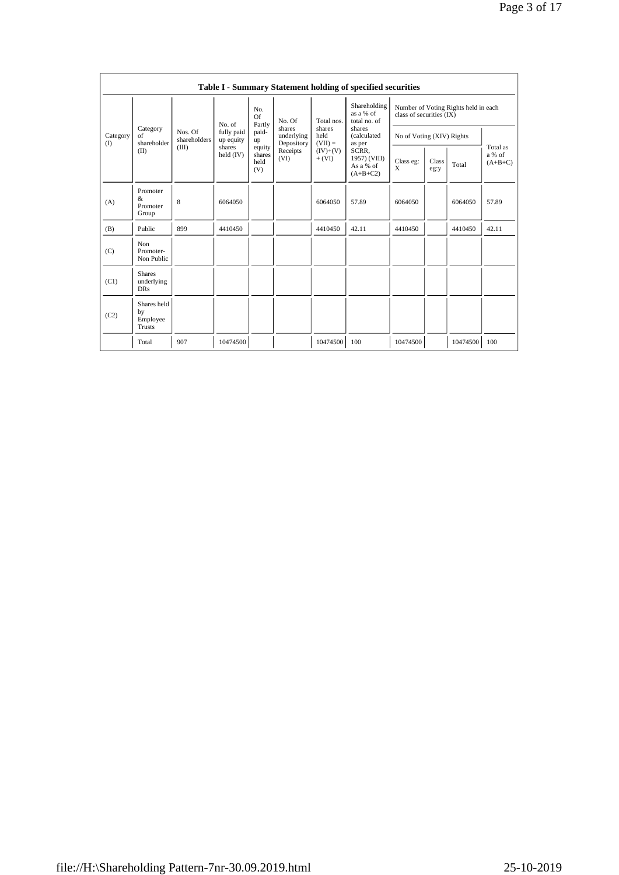|                 |                                                |                         |                         |                                 |                                                                             |                        | Table I - Summary Statement holding of specified securities |                                                                  |               |                       |                                 |  |  |
|-----------------|------------------------------------------------|-------------------------|-------------------------|---------------------------------|-----------------------------------------------------------------------------|------------------------|-------------------------------------------------------------|------------------------------------------------------------------|---------------|-----------------------|---------------------------------|--|--|
|                 |                                                |                         | No. of                  | No.<br><b>Of</b><br>Partly      | No. Of<br>shares<br>shares<br>held<br>underlying<br>$(VII) =$<br>Depository | Total nos.             | Shareholding<br>as a % of<br>total no. of                   | Number of Voting Rights held in each<br>class of securities (IX) |               |                       |                                 |  |  |
| Category<br>(1) | Category<br>of<br>shareholder                  | Nos. Of<br>shareholders | fully paid<br>up equity | paid-<br>up                     |                                                                             |                        |                                                             |                                                                  |               | shares<br>(calculated | No of Voting (XIV) Rights       |  |  |
|                 | (II)                                           | (III)                   | shares<br>held $(IV)$   | equity<br>shares<br>held<br>(V) | Receipts<br>(VI)                                                            | $(IV)+(V)$<br>$+ (VI)$ | as per<br>SCRR.<br>1957) (VIII)<br>As a % of<br>$(A+B+C2)$  | Class eg:<br>X                                                   | Class<br>eg:y | Total                 | Total as<br>a % of<br>$(A+B+C)$ |  |  |
| (A)             | Promoter<br>&<br>Promoter<br>Group             | 8                       | 6064050                 |                                 |                                                                             | 6064050                | 57.89                                                       | 6064050                                                          |               | 6064050               | 57.89                           |  |  |
| (B)             | Public                                         | 899                     | 4410450                 |                                 |                                                                             | 4410450                | 42.11                                                       | 4410450                                                          |               | 4410450               | 42.11                           |  |  |
| (C)             | Non<br>Promoter-<br>Non Public                 |                         |                         |                                 |                                                                             |                        |                                                             |                                                                  |               |                       |                                 |  |  |
| (C1)            | <b>Shares</b><br>underlying<br><b>DRs</b>      |                         |                         |                                 |                                                                             |                        |                                                             |                                                                  |               |                       |                                 |  |  |
| (C2)            | Shares held<br>by<br>Employee<br><b>Trusts</b> |                         |                         |                                 |                                                                             |                        |                                                             |                                                                  |               |                       |                                 |  |  |
|                 | Total                                          | 907                     | 10474500                |                                 |                                                                             | 10474500               | 100                                                         | 10474500                                                         |               | 10474500              | 100                             |  |  |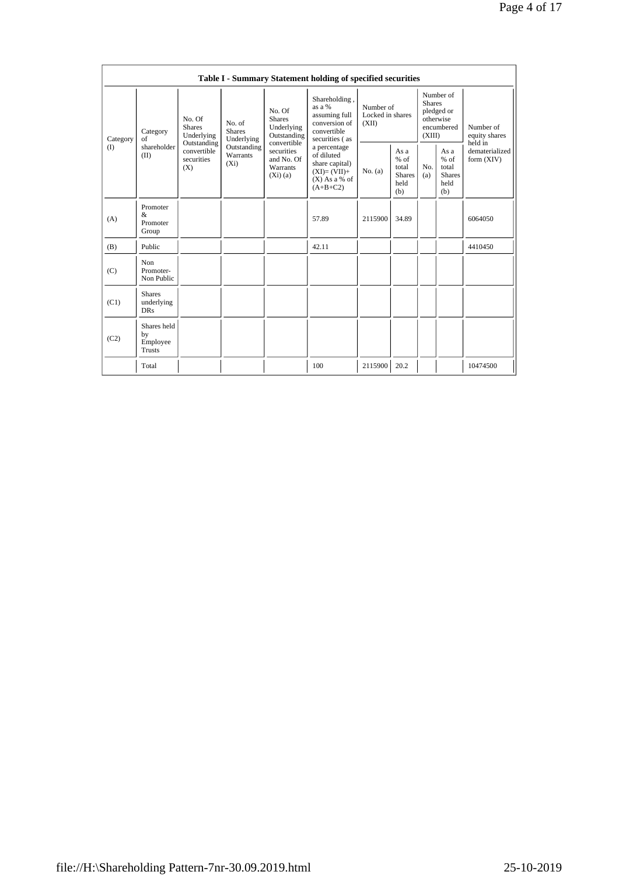|          |                                           |                                                 |                                       |                                                                                                                                  | Table I - Summary Statement holding of specified securities                                  |                                        |                                                                               |                                                                                                |                            |                                                         |            |                                                         |
|----------|-------------------------------------------|-------------------------------------------------|---------------------------------------|----------------------------------------------------------------------------------------------------------------------------------|----------------------------------------------------------------------------------------------|----------------------------------------|-------------------------------------------------------------------------------|------------------------------------------------------------------------------------------------|----------------------------|---------------------------------------------------------|------------|---------------------------------------------------------|
| Category | Category<br>of                            | No. Of<br><b>Shares</b><br>Underlying           | No. of<br><b>Shares</b><br>Underlying | No. Of<br><b>Shares</b><br>Underlying<br>Outstanding<br>convertible<br>securities<br>and No. Of<br><b>Warrants</b><br>$(X_i)(a)$ | Shareholding,<br>as $a\%$<br>assuming full<br>conversion of<br>convertible<br>securities (as | Number of<br>Locked in shares<br>(XII) | Number of<br><b>Shares</b><br>pledged or<br>otherwise<br>encumbered<br>(XIII) |                                                                                                | Number of<br>equity shares |                                                         |            |                                                         |
| (        | shareholder<br>(II)                       | Outstanding<br>convertible<br>securities<br>(X) | Outstanding<br>Warrants<br>$(X_i)$    |                                                                                                                                  |                                                                                              |                                        |                                                                               | a percentage<br>of diluted<br>share capital)<br>$(XI)=(VII)+$<br>$(X)$ As a % of<br>$(A+B+C2)$ | No. (a)                    | As a<br>$%$ of<br>total<br><b>Shares</b><br>held<br>(b) | No.<br>(a) | As a<br>$%$ of<br>total<br><b>Shares</b><br>held<br>(b) |
| (A)      | Promoter<br>$\&$<br>Promoter<br>Group     |                                                 |                                       |                                                                                                                                  | 57.89                                                                                        | 2115900                                | 34.89                                                                         |                                                                                                |                            | 6064050                                                 |            |                                                         |
| (B)      | Public                                    |                                                 |                                       |                                                                                                                                  | 42.11                                                                                        |                                        |                                                                               |                                                                                                |                            | 4410450                                                 |            |                                                         |
| (C)      | Non<br>Promoter-<br>Non Public            |                                                 |                                       |                                                                                                                                  |                                                                                              |                                        |                                                                               |                                                                                                |                            |                                                         |            |                                                         |
| (C1)     | <b>Shares</b><br>underlying<br><b>DRs</b> |                                                 |                                       |                                                                                                                                  |                                                                                              |                                        |                                                                               |                                                                                                |                            |                                                         |            |                                                         |
| (C2)     | Shares held<br>by<br>Employee<br>Trusts   |                                                 |                                       |                                                                                                                                  |                                                                                              |                                        |                                                                               |                                                                                                |                            |                                                         |            |                                                         |
|          | Total                                     |                                                 |                                       |                                                                                                                                  | 100                                                                                          | 2115900                                | 20.2                                                                          |                                                                                                |                            | 10474500                                                |            |                                                         |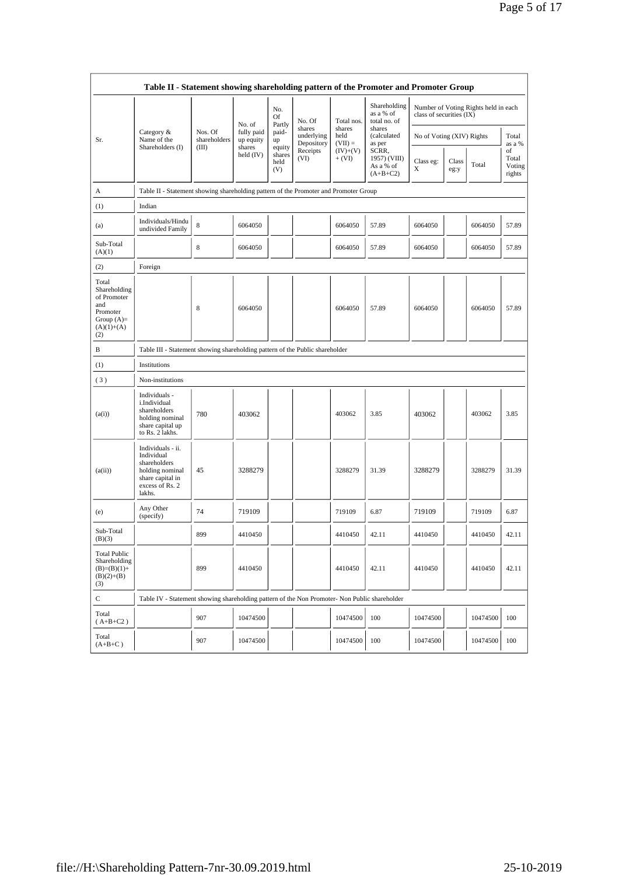|                                                                                                | Table II - Statement showing shareholding pattern of the Promoter and Promoter Group                                |                         |                                             |                                 |                                    |                             |                                                  |                           |               |                                      |                                 |
|------------------------------------------------------------------------------------------------|---------------------------------------------------------------------------------------------------------------------|-------------------------|---------------------------------------------|---------------------------------|------------------------------------|-----------------------------|--------------------------------------------------|---------------------------|---------------|--------------------------------------|---------------------------------|
|                                                                                                |                                                                                                                     |                         |                                             | No.<br>Of                       | No. Of                             | Total nos.                  | Shareholding<br>as a % of<br>total no. of        | class of securities (IX)  |               | Number of Voting Rights held in each |                                 |
| Sr.                                                                                            | Category &<br>Name of the<br>Shareholders (I)                                                                       | Nos. Of<br>shareholders | No. of<br>fully paid<br>up equity<br>shares | Partly<br>paid-<br>up           | shares<br>underlying<br>Depository | shares<br>held<br>$(VII) =$ | shares<br>(calculated<br>as per                  | No of Voting (XIV) Rights |               |                                      | Total<br>as a %                 |
|                                                                                                |                                                                                                                     | (III)                   | held (IV)                                   | equity<br>shares<br>held<br>(V) | Receipts<br>(VI)                   | $(IV)+(V)$<br>$+ (VI)$      | SCRR,<br>1957) (VIII)<br>As a % of<br>$(A+B+C2)$ | Class eg:<br>X            | Class<br>eg:y | Total                                | of<br>Total<br>Voting<br>rights |
| А                                                                                              | Table II - Statement showing shareholding pattern of the Promoter and Promoter Group                                |                         |                                             |                                 |                                    |                             |                                                  |                           |               |                                      |                                 |
| (1)                                                                                            | Indian                                                                                                              |                         |                                             |                                 |                                    |                             |                                                  |                           |               |                                      |                                 |
| (a)                                                                                            | Individuals/Hindu<br>undivided Family                                                                               | 8                       | 6064050                                     |                                 |                                    | 6064050                     | 57.89                                            | 6064050                   |               | 6064050                              | 57.89                           |
| Sub-Total<br>(A)(1)                                                                            |                                                                                                                     | 8                       | 6064050                                     |                                 |                                    | 6064050                     | 57.89                                            | 6064050                   |               | 6064050                              | 57.89                           |
| (2)                                                                                            | Foreign                                                                                                             |                         |                                             |                                 |                                    |                             |                                                  |                           |               |                                      |                                 |
| Total<br>Shareholding<br>of Promoter<br>and<br>Promoter<br>Group $(A)=$<br>$(A)(1)+(A)$<br>(2) |                                                                                                                     | 8                       | 6064050                                     |                                 |                                    | 6064050                     | 57.89                                            | 6064050                   |               | 6064050                              | 57.89                           |
| В                                                                                              | Table III - Statement showing shareholding pattern of the Public shareholder                                        |                         |                                             |                                 |                                    |                             |                                                  |                           |               |                                      |                                 |
| (1)                                                                                            | Institutions                                                                                                        |                         |                                             |                                 |                                    |                             |                                                  |                           |               |                                      |                                 |
| (3)                                                                                            | Non-institutions                                                                                                    |                         |                                             |                                 |                                    |                             |                                                  |                           |               |                                      |                                 |
| (a(i))                                                                                         | Individuals -<br>i.Individual<br>shareholders<br>holding nominal<br>share capital up<br>to Rs. 2 lakhs.             | 780                     | 403062                                      |                                 |                                    | 403062                      | 3.85                                             | 403062                    |               | 403062                               | 3.85                            |
| (a(ii))                                                                                        | Individuals - ii.<br>Individual<br>shareholders<br>holding nominal<br>share capital in<br>excess of Rs. 2<br>lakhs. | 45                      | 3288279                                     |                                 |                                    | 3288279                     | 31.39                                            | 3288279                   |               | 3288279                              | 31.39                           |
| (e)                                                                                            | Any Other<br>(specify)                                                                                              | 74                      | 719109                                      |                                 |                                    | 719109                      | 6.87                                             | 719109                    |               | 719109                               | 6.87                            |
| Sub-Total<br>(B)(3)                                                                            |                                                                                                                     | 899                     | 4410450                                     |                                 |                                    | 4410450                     | 42.11                                            | 4410450                   |               | 4410450                              | 42.11                           |
| <b>Total Public</b><br>Shareholding<br>$(B)=(B)(1)+$<br>$(B)(2)+(B)$<br>(3)                    |                                                                                                                     | 899                     | 4410450                                     |                                 |                                    | 4410450                     | 42.11                                            | 4410450                   |               | 4410450                              | 42.11                           |
| С                                                                                              | Table IV - Statement showing shareholding pattern of the Non Promoter- Non Public shareholder                       |                         |                                             |                                 |                                    |                             |                                                  |                           |               |                                      |                                 |
| Total<br>$(A+B+C2)$                                                                            |                                                                                                                     | 907                     | 10474500                                    |                                 |                                    | 10474500                    | 100                                              | 10474500                  |               | 10474500                             | 100                             |
| Total<br>$(A+B+C)$                                                                             |                                                                                                                     | 907                     | 10474500                                    |                                 |                                    | 10474500                    | 100                                              | 10474500                  |               | 10474500                             | 100                             |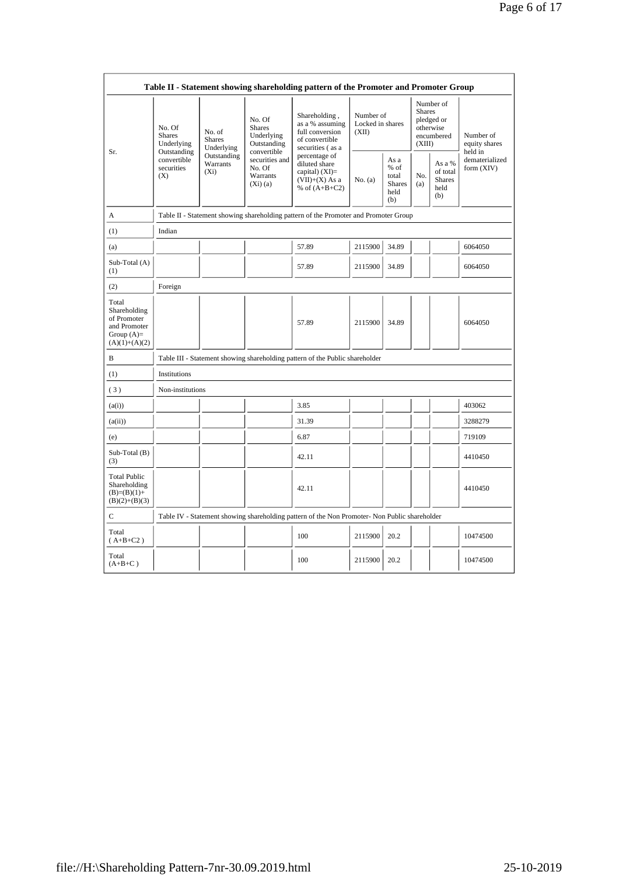|                                                                                         |                                                                                                                                                                         |                                                    |                                                                                           | Table II - Statement showing shareholding pattern of the Promoter and Promoter Group          |                                                       |                               |                                                    |                                                                               |                                       |
|-----------------------------------------------------------------------------------------|-------------------------------------------------------------------------------------------------------------------------------------------------------------------------|----------------------------------------------------|-------------------------------------------------------------------------------------------|-----------------------------------------------------------------------------------------------|-------------------------------------------------------|-------------------------------|----------------------------------------------------|-------------------------------------------------------------------------------|---------------------------------------|
| Sr.                                                                                     | No. Of<br>No. of<br><b>Shares</b><br><b>Shares</b><br>Underlying<br>Underlying<br>Outstanding<br>Outstanding<br>convertible<br>Warrants<br>securities<br>$(X_i)$<br>(X) |                                                    | No. Of<br><b>Shares</b><br>Underlying<br>Outstanding<br>convertible                       | Shareholding,<br>as a % assuming<br>full conversion<br>of convertible<br>securities (as a     | (XII)                                                 | Number of<br>Locked in shares |                                                    | Number of<br><b>Shares</b><br>pledged or<br>otherwise<br>encumbered<br>(XIII) | Number of<br>equity shares<br>held in |
|                                                                                         |                                                                                                                                                                         | securities and<br>No. Of<br>Warrants<br>$(Xi)$ (a) | percentage of<br>diluted share<br>capital) $(XI)=$<br>$(VII)+(X)$ As a<br>% of $(A+B+C2)$ | No. (a)                                                                                       | As a<br>% of<br>total<br><b>Shares</b><br>held<br>(b) | No.<br>(a)                    | As a %<br>of total<br><b>Shares</b><br>held<br>(b) | dematerialized<br>form (XIV)                                                  |                                       |
| A                                                                                       |                                                                                                                                                                         |                                                    |                                                                                           | Table II - Statement showing shareholding pattern of the Promoter and Promoter Group          |                                                       |                               |                                                    |                                                                               |                                       |
| (1)                                                                                     | Indian                                                                                                                                                                  |                                                    |                                                                                           |                                                                                               |                                                       |                               |                                                    |                                                                               |                                       |
| (a)                                                                                     |                                                                                                                                                                         |                                                    |                                                                                           | 57.89                                                                                         | 2115900                                               | 34.89                         |                                                    |                                                                               | 6064050                               |
| Sub-Total (A)<br>(1)                                                                    |                                                                                                                                                                         |                                                    |                                                                                           | 57.89                                                                                         | 2115900                                               | 34.89                         |                                                    |                                                                               | 6064050                               |
| (2)                                                                                     | Foreign                                                                                                                                                                 |                                                    |                                                                                           |                                                                                               |                                                       |                               |                                                    |                                                                               |                                       |
| Total<br>Shareholding<br>of Promoter<br>and Promoter<br>Group $(A)=$<br>$(A)(1)+(A)(2)$ |                                                                                                                                                                         |                                                    |                                                                                           | 57.89                                                                                         | 2115900                                               | 34.89                         |                                                    |                                                                               | 6064050                               |
| B                                                                                       |                                                                                                                                                                         |                                                    |                                                                                           | Table III - Statement showing shareholding pattern of the Public shareholder                  |                                                       |                               |                                                    |                                                                               |                                       |
| (1)                                                                                     | Institutions                                                                                                                                                            |                                                    |                                                                                           |                                                                                               |                                                       |                               |                                                    |                                                                               |                                       |
| (3)                                                                                     | Non-institutions                                                                                                                                                        |                                                    |                                                                                           |                                                                                               |                                                       |                               |                                                    |                                                                               |                                       |
| (a(i))                                                                                  |                                                                                                                                                                         |                                                    |                                                                                           | 3.85                                                                                          |                                                       |                               |                                                    |                                                                               | 403062                                |
| (a(ii))                                                                                 |                                                                                                                                                                         |                                                    |                                                                                           | 31.39                                                                                         |                                                       |                               |                                                    |                                                                               | 3288279                               |
| (e)                                                                                     |                                                                                                                                                                         |                                                    |                                                                                           | 6.87                                                                                          |                                                       |                               |                                                    |                                                                               | 719109                                |
| Sub-Total (B)<br>(3)                                                                    |                                                                                                                                                                         |                                                    |                                                                                           | 42.11                                                                                         |                                                       |                               |                                                    |                                                                               | 4410450                               |
| <b>Total Public</b><br>Shareholding<br>$(B)=(B)(1)+$<br>$(B)(2)+(B)(3)$                 |                                                                                                                                                                         |                                                    |                                                                                           | 42.11                                                                                         |                                                       |                               |                                                    |                                                                               | 4410450                               |
| C                                                                                       |                                                                                                                                                                         |                                                    |                                                                                           | Table IV - Statement showing shareholding pattern of the Non Promoter- Non Public shareholder |                                                       |                               |                                                    |                                                                               |                                       |
| Total<br>$(A+B+C2)$                                                                     |                                                                                                                                                                         |                                                    |                                                                                           | 100                                                                                           | 2115900                                               | 20.2                          |                                                    |                                                                               | 10474500                              |
| Total<br>$(A+B+C)$                                                                      |                                                                                                                                                                         |                                                    |                                                                                           | 100                                                                                           | 2115900                                               | 20.2                          |                                                    |                                                                               | 10474500                              |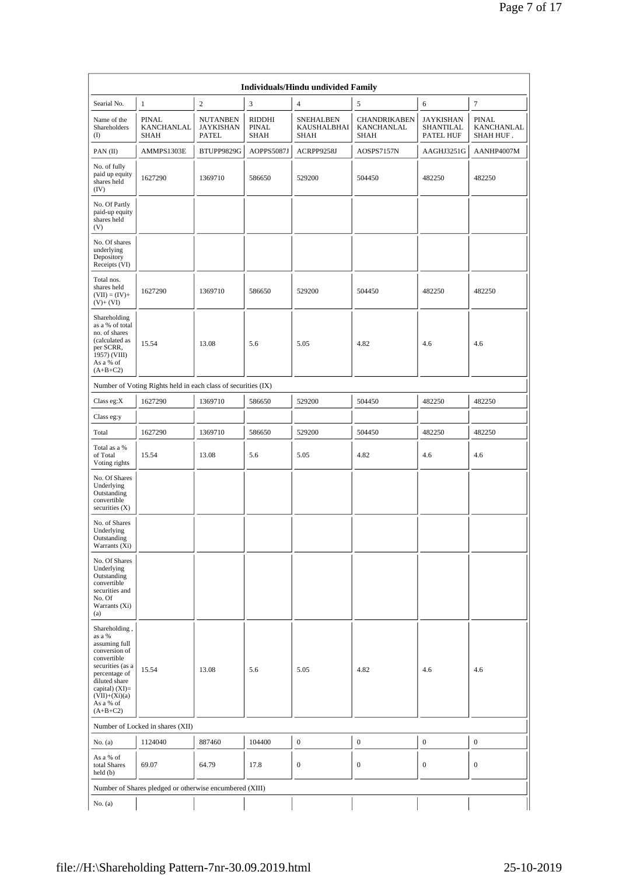|                                                                                                                                                                                                |                                                               |                                              |                                | Individuals/Hindu undivided Family      |                                                  |                                                   |                                         |
|------------------------------------------------------------------------------------------------------------------------------------------------------------------------------------------------|---------------------------------------------------------------|----------------------------------------------|--------------------------------|-----------------------------------------|--------------------------------------------------|---------------------------------------------------|-----------------------------------------|
| Searial No.                                                                                                                                                                                    | 1                                                             | $\overline{c}$                               | 3                              | $\overline{4}$                          | 5                                                | 6                                                 | $\boldsymbol{7}$                        |
| Name of the<br>Shareholders<br>(                                                                                                                                                               | <b>PINAL</b><br>KANCHANLAL<br><b>SHAH</b>                     | <b>NUTANBEN</b><br><b>JAYKISHAN</b><br>PATEL | RIDDHI<br><b>PINAL</b><br>SHAH | <b>SNEHALBEN</b><br>KAUSHALBHAI<br>SHAH | <b>CHANDRIKABEN</b><br>KANCHANLAL<br><b>SHAH</b> | <b>JAYKISHAN</b><br><b>SHANTILAL</b><br>PATEL HUF | <b>PINAL</b><br>KANCHANLAL<br>SHAH HUF. |
| PAN(II)                                                                                                                                                                                        | AMMPS1303E                                                    | BTUPP9829G                                   | AOPPS5087J                     | ACRPP9258J                              | AOSPS7157N                                       | AAGHJ3251G                                        | AANHP4007M                              |
| No. of fully<br>paid up equity<br>shares held<br>(IV)                                                                                                                                          | 1627290                                                       | 1369710                                      | 586650                         | 529200                                  | 504450                                           | 482250                                            | 482250                                  |
| No. Of Partly<br>paid-up equity<br>shares held<br>(V)                                                                                                                                          |                                                               |                                              |                                |                                         |                                                  |                                                   |                                         |
| No. Of shares<br>underlying<br>Depository<br>Receipts (VI)                                                                                                                                     |                                                               |                                              |                                |                                         |                                                  |                                                   |                                         |
| Total nos.<br>shares held<br>$(VII) = (IV) +$<br>$(V)$ + $(VI)$                                                                                                                                | 1627290                                                       | 1369710                                      | 586650                         | 529200                                  | 504450                                           | 482250                                            | 482250                                  |
| Shareholding<br>as a % of total<br>no. of shares<br>(calculated as<br>per SCRR,<br>1957) (VIII)<br>As a % of<br>$(A+B+C2)$                                                                     | 15.54                                                         | 13.08                                        | 5.6                            | 5.05                                    | 4.82                                             | 4.6                                               | 4.6                                     |
|                                                                                                                                                                                                | Number of Voting Rights held in each class of securities (IX) |                                              |                                |                                         |                                                  |                                                   |                                         |
| Class eg:X                                                                                                                                                                                     | 1627290                                                       | 1369710                                      | 586650                         | 529200                                  | 504450                                           | 482250                                            | 482250                                  |
| Class eg:y                                                                                                                                                                                     |                                                               |                                              |                                |                                         |                                                  |                                                   |                                         |
| Total                                                                                                                                                                                          | 1627290                                                       | 1369710                                      | 586650                         | 529200                                  | 504450                                           | 482250                                            | 482250                                  |
| Total as a %<br>of Total<br>Voting rights                                                                                                                                                      | 15.54                                                         | 13.08                                        | 5.6                            | 5.05                                    | 4.82                                             | 4.6                                               | 4.6                                     |
| No. Of Shares<br>Underlying<br>Outstanding<br>convertible<br>securities $(X)$                                                                                                                  |                                                               |                                              |                                |                                         |                                                  |                                                   |                                         |
| No. of Shares<br>Underlying<br>Outstanding<br>Warrants (Xi)                                                                                                                                    |                                                               |                                              |                                |                                         |                                                  |                                                   |                                         |
| No. Of Shares<br>Underlying<br>Outstanding<br>convertible<br>securities and<br>No. Of<br>Warrants (Xi)<br>(a)                                                                                  |                                                               |                                              |                                |                                         |                                                  |                                                   |                                         |
| Shareholding,<br>as a %<br>assuming full<br>conversion of<br>convertible<br>securities (as a<br>percentage of<br>diluted share<br>capital) (XI)=<br>$(VII)+(Xi)(a)$<br>As a % of<br>$(A+B+C2)$ | 15.54                                                         | 13.08                                        | 5.6                            | 5.05                                    | 4.82                                             | 4.6                                               | 4.6                                     |
|                                                                                                                                                                                                | Number of Locked in shares (XII)                              |                                              |                                |                                         |                                                  |                                                   |                                         |
| No. (a)                                                                                                                                                                                        | 1124040                                                       | 887460                                       | 104400                         | $\boldsymbol{0}$                        | $\boldsymbol{0}$                                 | $\boldsymbol{0}$                                  | $\boldsymbol{0}$                        |
| As a % of<br>total Shares<br>held(b)                                                                                                                                                           | 69.07                                                         | 64.79                                        | 17.8                           | $\mathbf{0}$                            | $\boldsymbol{0}$                                 | $\mathbf{0}$                                      | $\boldsymbol{0}$                        |
|                                                                                                                                                                                                | Number of Shares pledged or otherwise encumbered (XIII)       |                                              |                                |                                         |                                                  |                                                   |                                         |
| No. (a)                                                                                                                                                                                        |                                                               |                                              |                                |                                         |                                                  |                                                   |                                         |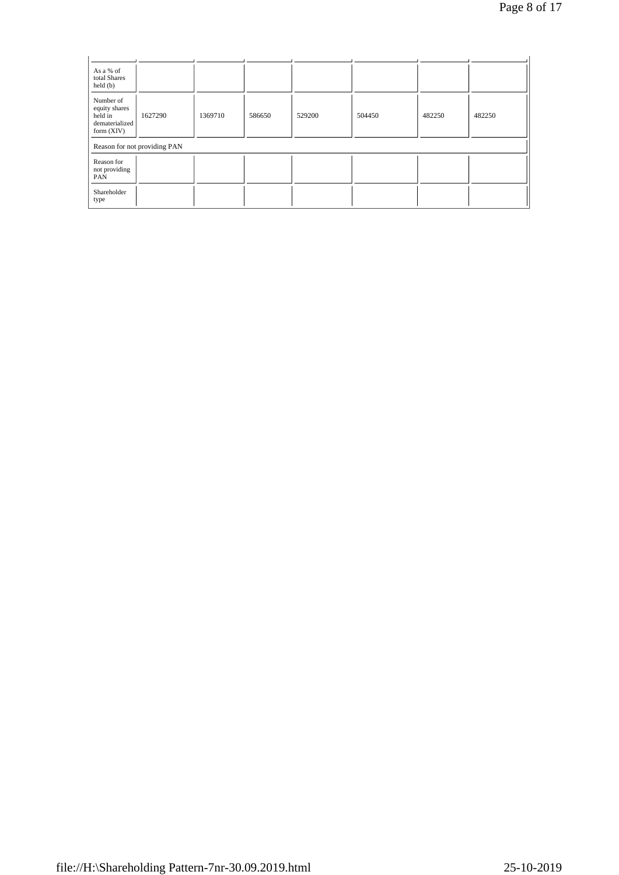| As a % of<br>total Shares<br>$\text{held}(\text{b})$                    |                              |         |        |        |        |        |        |
|-------------------------------------------------------------------------|------------------------------|---------|--------|--------|--------|--------|--------|
| Number of<br>equity shares<br>held in<br>dematerialized<br>form $(XIV)$ | 1627290                      | 1369710 | 586650 | 529200 | 504450 | 482250 | 482250 |
|                                                                         | Reason for not providing PAN |         |        |        |        |        |        |
| Reason for<br>not providing<br>PAN                                      |                              |         |        |        |        |        |        |
| Shareholder<br>type                                                     |                              |         |        |        |        |        |        |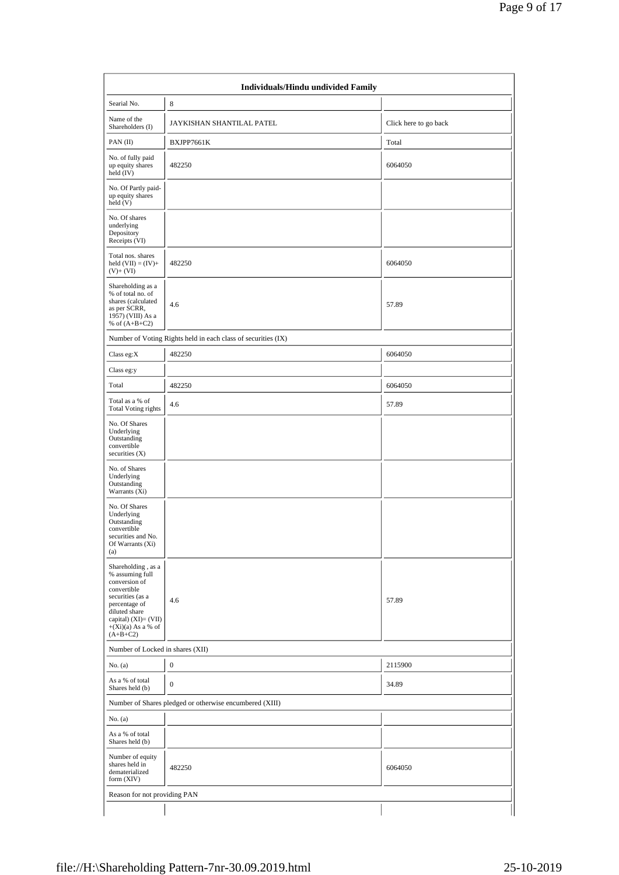| Searial No.                                                                                                                                                                               | 8                                                             |                       |
|-------------------------------------------------------------------------------------------------------------------------------------------------------------------------------------------|---------------------------------------------------------------|-----------------------|
| Name of the<br>Shareholders (I)                                                                                                                                                           | JAYKISHAN SHANTILAL PATEL                                     | Click here to go back |
| PAN (II)                                                                                                                                                                                  | BXJPP7661K                                                    | Total                 |
| No. of fully paid<br>up equity shares<br>held (IV)                                                                                                                                        | 482250                                                        | 6064050               |
| No. Of Partly paid-<br>up equity shares<br>held (V)                                                                                                                                       |                                                               |                       |
| No. Of shares<br>underlying<br>Depository<br>Receipts (VI)                                                                                                                                |                                                               |                       |
| Total nos. shares<br>held $(VII) = (IV) +$<br>$(V)$ + $(VI)$                                                                                                                              | 482250                                                        | 6064050               |
| Shareholding as a<br>% of total no. of<br>shares (calculated<br>as per SCRR,<br>1957) (VIII) As a<br>% of $(A+B+C2)$                                                                      | 4.6                                                           | 57.89                 |
|                                                                                                                                                                                           | Number of Voting Rights held in each class of securities (IX) |                       |
| Class eg:X                                                                                                                                                                                | 482250                                                        | 6064050               |
| Class eg:y                                                                                                                                                                                |                                                               |                       |
| Total                                                                                                                                                                                     | 482250                                                        | 6064050               |
| Total as a % of<br><b>Total Voting rights</b>                                                                                                                                             | 4.6                                                           | 57.89                 |
| No. Of Shares<br>Underlying<br>Outstanding<br>convertible<br>securities $(X)$                                                                                                             |                                                               |                       |
| No. of Shares<br>Underlying<br>Outstanding<br>Warrants (Xi)                                                                                                                               |                                                               |                       |
| No. Of Shares<br>Underlying<br>Outstanding<br>convertible<br>securities and No.<br>Of Warrants (Xi)<br>(a)                                                                                |                                                               |                       |
| Shareholding, as a<br>% assuming full<br>conversion of<br>convertible<br>securities (as a<br>percentage of<br>diluted share<br>capital) (XI)= (VII)<br>$+(Xi)(a)$ As a % of<br>$(A+B+C2)$ | 4.6                                                           | 57.89                 |
| Number of Locked in shares (XII)                                                                                                                                                          |                                                               |                       |
| No. (a)                                                                                                                                                                                   | $\boldsymbol{0}$                                              | 2115900               |
| As a % of total<br>Shares held (b)                                                                                                                                                        | $\overline{0}$                                                | 34.89                 |
|                                                                                                                                                                                           | Number of Shares pledged or otherwise encumbered (XIII)       |                       |
| No. (a)                                                                                                                                                                                   |                                                               |                       |
| As a % of total<br>Shares held (b)                                                                                                                                                        |                                                               |                       |
| Number of equity<br>shares held in<br>dematerialized<br>form $(XIV)$                                                                                                                      | 482250                                                        | 6064050               |
| Reason for not providing PAN                                                                                                                                                              |                                                               |                       |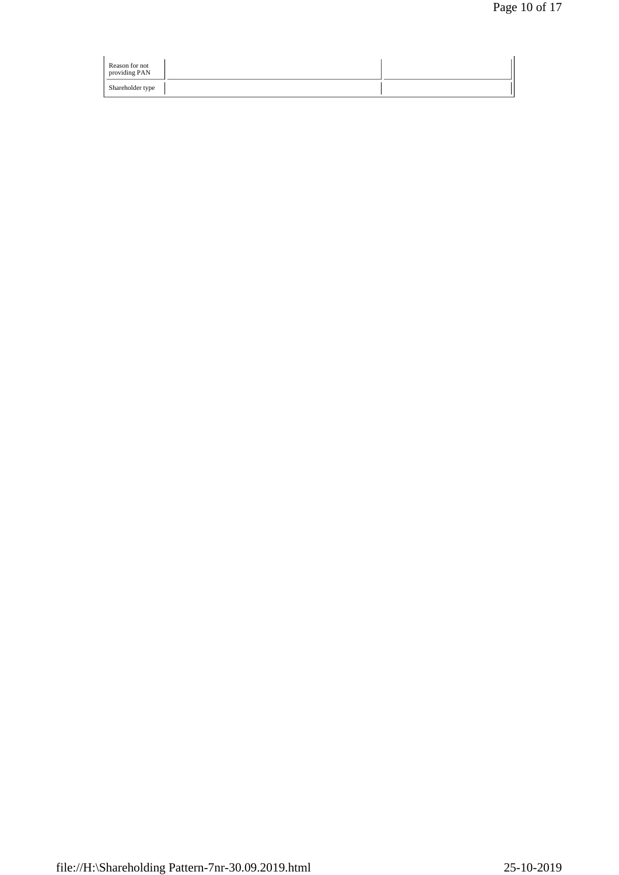| Reason for not<br>providing PAN |  |
|---------------------------------|--|
| Shareholder type                |  |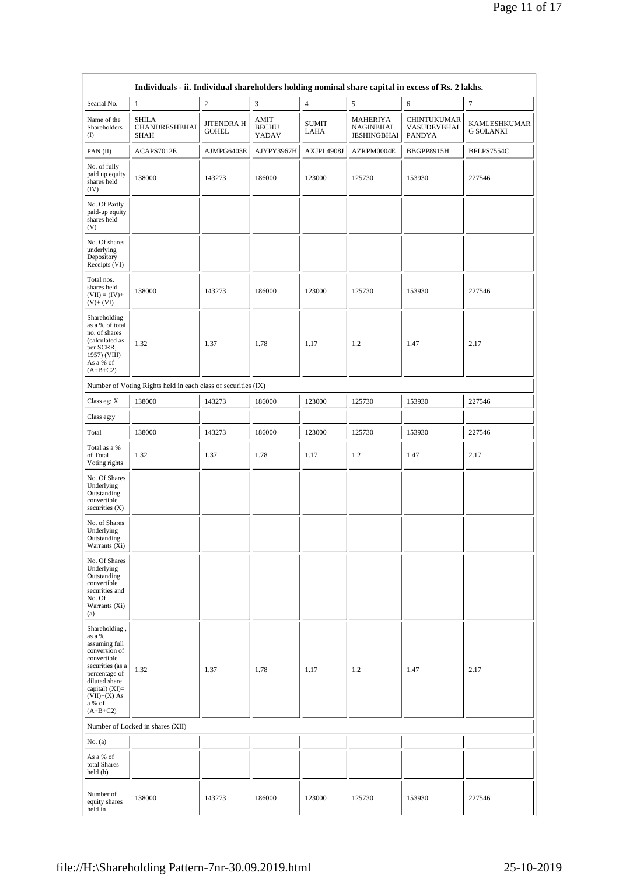|                                                                                                                                                                                            | Individuals - ii. Individual shareholders holding nominal share capital in excess of Rs. 2 lakhs. |                                   |                               |                      |                                             |                                             |                                  |
|--------------------------------------------------------------------------------------------------------------------------------------------------------------------------------------------|---------------------------------------------------------------------------------------------------|-----------------------------------|-------------------------------|----------------------|---------------------------------------------|---------------------------------------------|----------------------------------|
| Searial No.                                                                                                                                                                                | $\mathbf{1}$                                                                                      | $\boldsymbol{2}$                  | 3                             | $\overline{4}$       | 5                                           | 6                                           | 7                                |
| Name of the<br>Shareholders<br>$\rm(D)$                                                                                                                                                    | <b>SHILA</b><br>CHANDRESHBHAI<br>SHAH                                                             | <b>JITENDRA H</b><br><b>GOHEL</b> | AMIT<br><b>BECHU</b><br>YADAV | <b>SUMIT</b><br>LAHA | MAHERIYA<br>NAGINBHAI<br><b>JESHINGBHAI</b> | CHINTUKUMAR<br>VASUDEVBHAI<br><b>PANDYA</b> | KAMLESHKUMAR<br><b>G SOLANKI</b> |
| PAN (II)                                                                                                                                                                                   | ACAPS7012E                                                                                        | AJMPG6403E                        | AJYPY3967H                    | AXJPL4908J           | AZRPM0004E                                  | BBGPP8915H                                  | BFLPS7554C                       |
| No. of fully<br>paid up equity<br>shares held<br>(IV)                                                                                                                                      | 138000                                                                                            | 143273                            | 186000                        | 123000               | 125730                                      | 153930                                      | 227546                           |
| No. Of Partly<br>paid-up equity<br>shares held<br>(V)                                                                                                                                      |                                                                                                   |                                   |                               |                      |                                             |                                             |                                  |
| No. Of shares<br>underlying<br>Depository<br>Receipts (VI)                                                                                                                                 |                                                                                                   |                                   |                               |                      |                                             |                                             |                                  |
| Total nos.<br>shares held<br>$(VII) = (IV) +$<br>$(V)+(VI)$                                                                                                                                | 138000                                                                                            | 143273                            | 186000                        | 123000               | 125730                                      | 153930                                      | 227546                           |
| Shareholding<br>as a % of total<br>no. of shares<br>(calculated as<br>per SCRR,<br>1957) (VIII)<br>As a % of<br>$(A+B+C2)$                                                                 | 1.32                                                                                              | 1.37                              | 1.78                          | 1.17                 | 1.2                                         | 1.47                                        | 2.17                             |
|                                                                                                                                                                                            | Number of Voting Rights held in each class of securities (IX)                                     |                                   |                               |                      |                                             |                                             |                                  |
| Class eg: X                                                                                                                                                                                | 138000                                                                                            | 143273                            | 186000                        | 123000               | 125730                                      | 153930                                      | 227546                           |
| Class eg:y                                                                                                                                                                                 |                                                                                                   |                                   |                               |                      |                                             |                                             |                                  |
| Total                                                                                                                                                                                      | 138000                                                                                            | 143273                            | 186000                        | 123000               | 125730                                      | 153930                                      | 227546                           |
| Total as a %<br>of Total<br>Voting rights                                                                                                                                                  | 1.32                                                                                              | 1.37                              | 1.78                          | 1.17                 | 1.2                                         | 1.47                                        | 2.17                             |
| No. Of Shares<br>Underlying<br>Outstanding<br>convertible<br>securities (X)                                                                                                                |                                                                                                   |                                   |                               |                      |                                             |                                             |                                  |
| No. of Shares<br>Underlying<br>Outstanding<br>Warrants (Xi)                                                                                                                                |                                                                                                   |                                   |                               |                      |                                             |                                             |                                  |
| No. Of Shares<br>Underlying<br>Outstanding<br>convertible<br>securities and<br>No. Of<br>Warrants (Xi)<br>(a)                                                                              |                                                                                                   |                                   |                               |                      |                                             |                                             |                                  |
| Shareholding,<br>as a %<br>assuming full<br>conversion of<br>convertible<br>securities (as a<br>percentage of<br>diluted share<br>capital) (XI)=<br>$(VII)+(X)$ As<br>a % of<br>$(A+B+C2)$ | 1.32                                                                                              | 1.37                              | 1.78                          | 1.17                 | 1.2                                         | 1.47                                        | 2.17                             |
|                                                                                                                                                                                            | Number of Locked in shares (XII)                                                                  |                                   |                               |                      |                                             |                                             |                                  |
| No. $(a)$                                                                                                                                                                                  |                                                                                                   |                                   |                               |                      |                                             |                                             |                                  |
| As a % of<br>total Shares<br>held(b)                                                                                                                                                       |                                                                                                   |                                   |                               |                      |                                             |                                             |                                  |
| Number of<br>equity shares<br>held in                                                                                                                                                      | 138000                                                                                            | 143273                            | 186000                        | 123000               | 125730                                      | 153930                                      | 227546                           |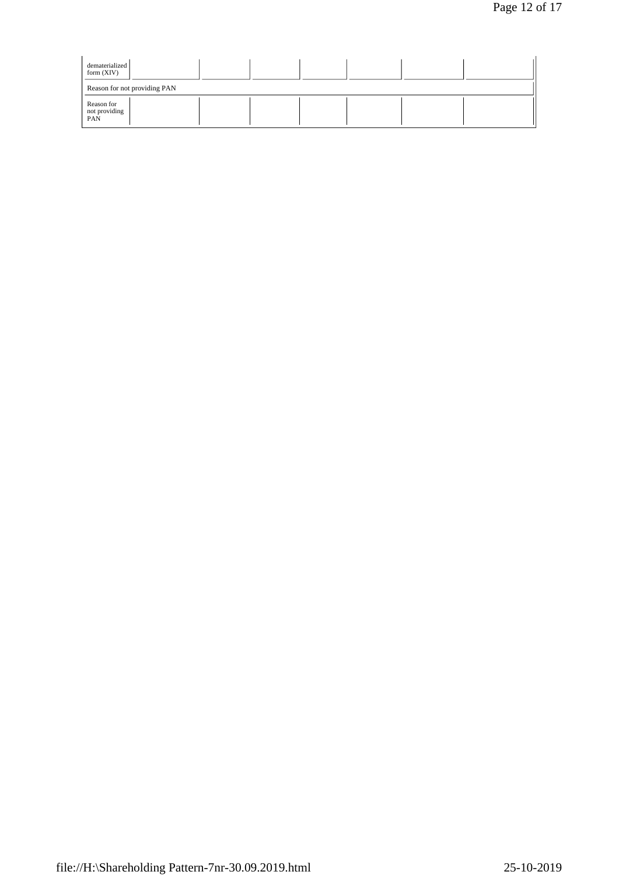| dematerialized<br>form $(XIV)$     |  |  |  |  |
|------------------------------------|--|--|--|--|
| Reason for not providing PAN       |  |  |  |  |
| Reason for<br>not providing<br>PAN |  |  |  |  |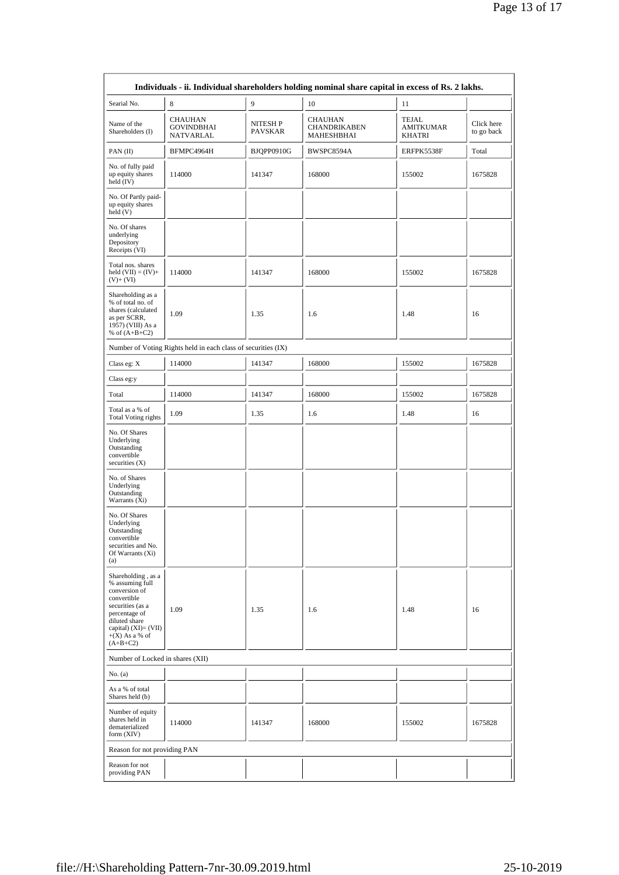|                                                                                                                                                                                       |                                                               |                     | Individuals - ii. Individual shareholders holding nominal share capital in excess of Rs. 2 lakhs. |                                            |                          |
|---------------------------------------------------------------------------------------------------------------------------------------------------------------------------------------|---------------------------------------------------------------|---------------------|---------------------------------------------------------------------------------------------------|--------------------------------------------|--------------------------|
| Searial No.                                                                                                                                                                           | 8                                                             | 9                   | 10                                                                                                | 11                                         |                          |
| Name of the<br>Shareholders (I)                                                                                                                                                       | <b>CHAUHAN</b><br><b>GOVINDBHAI</b><br>NATVARLAL              | NITESH P<br>PAVSKAR | <b>CHAUHAN</b><br><b>CHANDRIKABEN</b><br>MAHESHBHAI                                               | <b>TEJAL</b><br><b>AMITKUMAR</b><br>KHATRI | Click here<br>to go back |
| PAN(II)                                                                                                                                                                               | BFMPC4964H                                                    | BJQPP0910G          | BWSPC8594A                                                                                        | ERFPK5538F                                 | Total                    |
| No. of fully paid<br>up equity shares<br>held $(IV)$                                                                                                                                  | 114000                                                        |                     | 168000                                                                                            | 155002                                     | 1675828                  |
| No. Of Partly paid-<br>up equity shares<br>held (V)                                                                                                                                   |                                                               |                     |                                                                                                   |                                            |                          |
| No. Of shares<br>underlying<br>Depository<br>Receipts (VI)                                                                                                                            |                                                               |                     |                                                                                                   |                                            |                          |
| Total nos. shares<br>held $(VII) = (IV) +$<br>$(V)+(VI)$                                                                                                                              | 114000                                                        | 141347              | 168000                                                                                            |                                            | 1675828                  |
| Shareholding as a<br>% of total no. of<br>shares (calculated<br>as per SCRR,<br>1957) (VIII) As a<br>% of $(A+B+C2)$                                                                  | 1.09                                                          | 1.35                | 1.6                                                                                               | 1.48                                       | 16                       |
|                                                                                                                                                                                       | Number of Voting Rights held in each class of securities (IX) |                     |                                                                                                   |                                            |                          |
| Class eg: X                                                                                                                                                                           | 114000                                                        | 141347              | 168000                                                                                            | 155002                                     | 1675828                  |
| Class eg:y                                                                                                                                                                            |                                                               |                     |                                                                                                   |                                            |                          |
| Total                                                                                                                                                                                 | 114000                                                        | 141347              | 168000                                                                                            | 155002                                     | 1675828                  |
| Total as a % of<br><b>Total Voting rights</b>                                                                                                                                         | 1.09                                                          | 1.35                | 1.6                                                                                               | 1.48                                       | 16                       |
| No. Of Shares<br>Underlying<br>Outstanding<br>convertible<br>securities $(X)$                                                                                                         |                                                               |                     |                                                                                                   |                                            |                          |
| No. of Shares<br>Underlying<br>Outstanding<br>Warrants $(X_i)$                                                                                                                        |                                                               |                     |                                                                                                   |                                            |                          |
| No. Of Shares<br>Underlying<br>Outstanding<br>convertible<br>securities and No.<br>Of Warrants (Xi)<br>(a)                                                                            |                                                               |                     |                                                                                                   |                                            |                          |
| Shareholding, as a<br>% assuming full<br>conversion of<br>convertible<br>securities (as a<br>percentage of<br>diluted share<br>capital) (XI)= (VII)<br>$+(X)$ As a % of<br>$(A+B+C2)$ | 1.09                                                          | 1.35                | 1.6                                                                                               | 1.48                                       | 16                       |
| Number of Locked in shares (XII)                                                                                                                                                      |                                                               |                     |                                                                                                   |                                            |                          |
| No. (a)                                                                                                                                                                               |                                                               |                     |                                                                                                   |                                            |                          |
| As a % of total<br>Shares held (b)                                                                                                                                                    |                                                               |                     |                                                                                                   |                                            |                          |
| Number of equity<br>shares held in<br>114000<br>dematerialized<br>form (XIV)                                                                                                          |                                                               | 141347              | 168000                                                                                            | 155002                                     | 1675828                  |
| Reason for not providing PAN                                                                                                                                                          |                                                               |                     |                                                                                                   |                                            |                          |
| Reason for not<br>providing PAN                                                                                                                                                       |                                                               |                     |                                                                                                   |                                            |                          |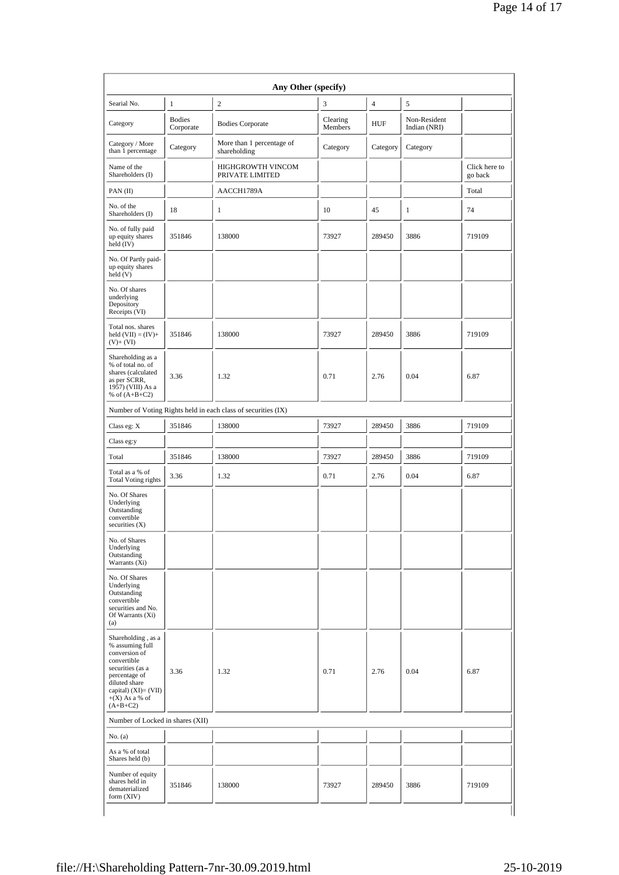| Searial No.                                                                                                                                                                            | $\mathbf{1}$               | $\overline{c}$                                                | 3                   | $\overline{4}$ | 5                            |                          |
|----------------------------------------------------------------------------------------------------------------------------------------------------------------------------------------|----------------------------|---------------------------------------------------------------|---------------------|----------------|------------------------------|--------------------------|
| Category                                                                                                                                                                               | <b>Bodies</b><br>Corporate | <b>Bodies Corporate</b>                                       | Clearing<br>Members | <b>HUF</b>     | Non-Resident<br>Indian (NRI) |                          |
| Category / More<br>than 1 percentage                                                                                                                                                   | Category                   | More than 1 percentage of<br>shareholding                     | Category            | Category       | Category                     |                          |
| Name of the<br>Shareholders (I)                                                                                                                                                        |                            | HIGHGROWTH VINCOM<br>PRIVATE LIMITED                          |                     |                |                              | Click here to<br>go back |
| PAN $(II)$                                                                                                                                                                             |                            | AACCH1789A                                                    |                     |                |                              | Total                    |
| No. of the<br>Shareholders (I)                                                                                                                                                         | 18                         | 1                                                             | 10                  | 45             | 1                            | 74                       |
| No. of fully paid<br>up equity shares<br>held $(IV)$                                                                                                                                   | 351846                     | 138000                                                        | 73927               | 289450         | 3886                         | 719109                   |
| No. Of Partly paid-<br>up equity shares<br>held(V)                                                                                                                                     |                            |                                                               |                     |                |                              |                          |
| No. Of shares<br>underlying<br>Depository<br>Receipts (VI)                                                                                                                             |                            |                                                               |                     |                |                              |                          |
| Total nos. shares<br>held $(VII) = (IV) +$<br>$(V)+(VI)$                                                                                                                               | 351846                     | 138000                                                        | 73927               | 289450         | 3886                         | 719109                   |
| Shareholding as a<br>% of total no. of<br>shares (calculated<br>as per SCRR,<br>1957) (VIII) As a<br>% of $(A+B+C2)$                                                                   | 3.36                       | 1.32                                                          | 0.71                | 2.76           | 0.04                         | 6.87                     |
|                                                                                                                                                                                        |                            | Number of Voting Rights held in each class of securities (IX) |                     |                |                              |                          |
| Class eg: X                                                                                                                                                                            | 351846                     | 138000                                                        | 73927               | 289450         | 3886                         | 719109                   |
| Class eg:y                                                                                                                                                                             |                            |                                                               |                     |                |                              |                          |
| Total                                                                                                                                                                                  | 351846                     | 138000                                                        | 73927               | 289450         | 3886                         | 719109                   |
| Total as a % of<br><b>Total Voting rights</b>                                                                                                                                          | 3.36                       | 1.32                                                          | 0.71                | 2.76           | 0.04                         | 6.87                     |
| No. Of Shares<br>Underlying<br>Outstanding<br>convertible<br>securities $(X)$                                                                                                          |                            |                                                               |                     |                |                              |                          |
| No. of Shares<br>Underlying<br>Outstanding<br>Warrants (Xi)                                                                                                                            |                            |                                                               |                     |                |                              |                          |
| No. Of Shares<br>Underlying<br>Outstanding<br>convertible<br>securities and No.<br>Of Warrants (Xi)<br>(a)                                                                             |                            |                                                               |                     |                |                              |                          |
| Shareholding, as a<br>% assuming full<br>conversion of<br>convertible<br>securities (as a<br>percentage of<br>diluted share<br>capital) $(XI)=(VII)$<br>$+(X)$ As a % of<br>$(A+B+C2)$ | 3.36                       | 1.32                                                          | 0.71                | 2.76           | 0.04                         | 6.87                     |
| Number of Locked in shares (XII)                                                                                                                                                       |                            |                                                               |                     |                |                              |                          |
| No. (a)                                                                                                                                                                                |                            |                                                               |                     |                |                              |                          |
| As a % of total<br>Shares held (b)                                                                                                                                                     |                            |                                                               |                     |                |                              |                          |
| Number of equity<br>shares held in<br>dematerialized<br>form (XIV)                                                                                                                     | 351846                     | 138000                                                        | 73927               | 289450         | 3886                         | 719109                   |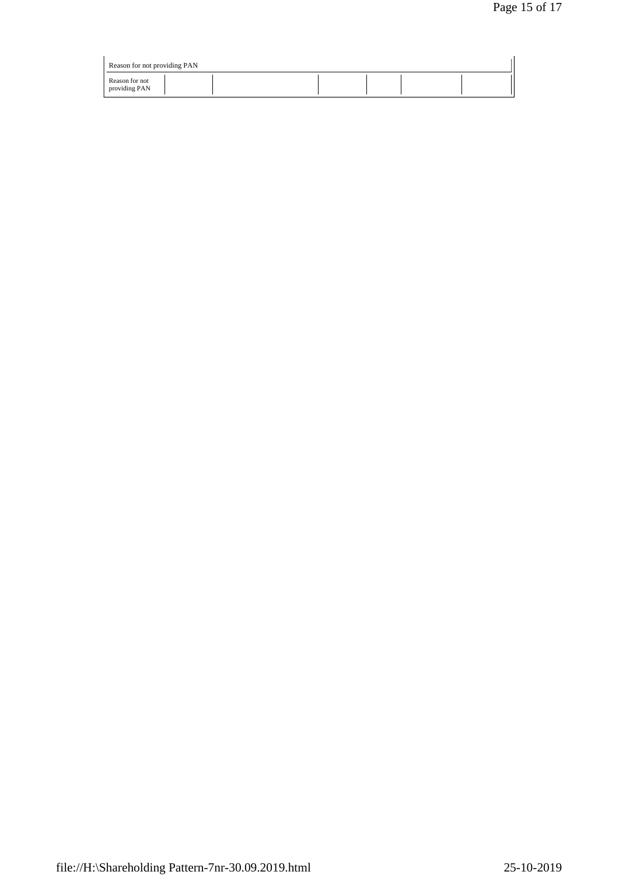| Reason for not providing PAN    |  |  |  |
|---------------------------------|--|--|--|
| Reason for not<br>providing PAN |  |  |  |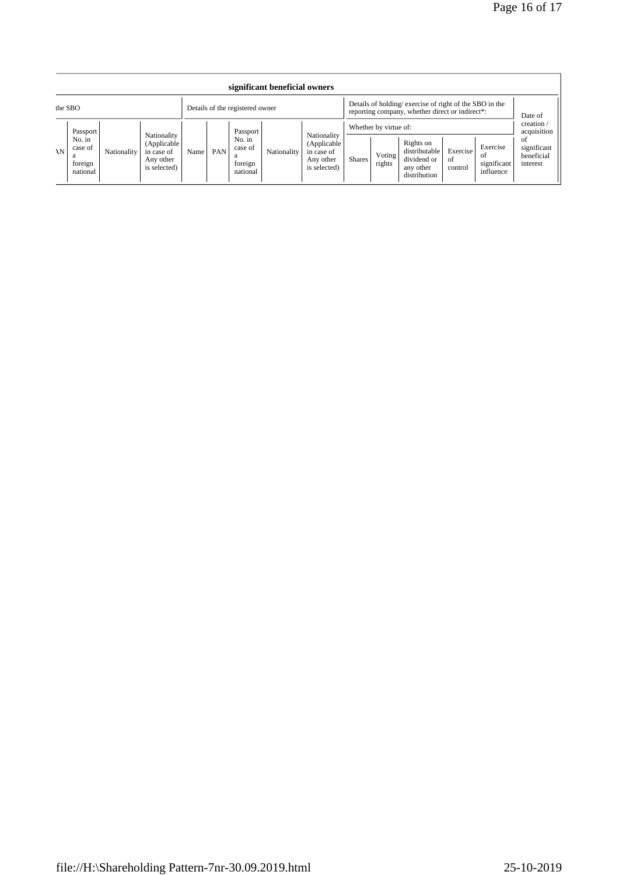| significant beneficial owners |                                                      |             |                                                                       |                                 |     |                                                      |             |                                                                                                           |        |                                           |                                                                        |                           |                                             |                                                                         |
|-------------------------------|------------------------------------------------------|-------------|-----------------------------------------------------------------------|---------------------------------|-----|------------------------------------------------------|-------------|-----------------------------------------------------------------------------------------------------------|--------|-------------------------------------------|------------------------------------------------------------------------|---------------------------|---------------------------------------------|-------------------------------------------------------------------------|
|                               | the SBO                                              |             |                                                                       | Details of the registered owner |     |                                                      |             | Details of holding/exercise of right of the SBO in the<br>reporting company, whether direct or indirect*: |        |                                           |                                                                        | Date of                   |                                             |                                                                         |
| AN                            | Passport<br>No. in<br>case of<br>foreign<br>national | Nationality | Nationality<br>(Applicable<br>in case of<br>Any other<br>is selected) | Name                            | PAN | Passport<br>No. in<br>case of<br>foreign<br>national | Nationality | Nationality<br>(Applicable<br>in case of<br>Any other<br>is selected)                                     | Shares | Whether by virtue of:<br>Voting<br>rights | Rights on<br>distributable<br>dividend or<br>any other<br>distribution | Exercise<br>of<br>control | Exercise<br>-ot<br>significant<br>influence | creation/<br>acquisition<br>of<br>significant<br>beneficial<br>interest |